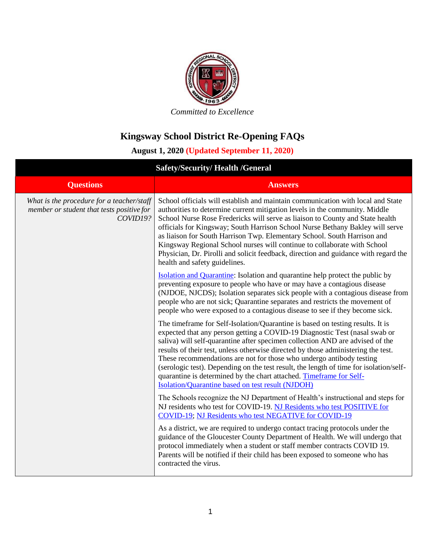

## **Kingsway School District Re-Opening FAQs**

## **August 1, 2020 (Updated September 11, 2020)**

| <b>Safety/Security/Health /General</b>                                                             |                                                                                                                                                                                                                                                                                                                                                                                                                                                                                                                                                                                                                                  |
|----------------------------------------------------------------------------------------------------|----------------------------------------------------------------------------------------------------------------------------------------------------------------------------------------------------------------------------------------------------------------------------------------------------------------------------------------------------------------------------------------------------------------------------------------------------------------------------------------------------------------------------------------------------------------------------------------------------------------------------------|
| <b>Questions</b>                                                                                   | <b>Answers</b>                                                                                                                                                                                                                                                                                                                                                                                                                                                                                                                                                                                                                   |
| What is the procedure for a teacher/staff<br>member or student that tests positive for<br>COVID19? | School officials will establish and maintain communication with local and State<br>authorities to determine current mitigation levels in the community. Middle<br>School Nurse Rose Fredericks will serve as liaison to County and State health<br>officials for Kingsway; South Harrison School Nurse Bethany Bakley will serve<br>as liaison for South Harrison Twp. Elementary School. South Harrison and<br>Kingsway Regional School nurses will continue to collaborate with School<br>Physician, Dr. Pirolli and solicit feedback, direction and guidance with regard the<br>health and safety guidelines.                 |
|                                                                                                    | <b>Isolation and Quarantine:</b> Isolation and quarantine help protect the public by<br>preventing exposure to people who have or may have a contagious disease<br>(NJDOE, NJCDS); Isolation separates sick people with a contagious disease from<br>people who are not sick; Quarantine separates and restricts the movement of<br>people who were exposed to a contagious disease to see if they become sick.                                                                                                                                                                                                                  |
|                                                                                                    | The timeframe for Self-Isolation/Quarantine is based on testing results. It is<br>expected that any person getting a COVID-19 Diagnostic Test (nasal swab or<br>saliva) will self-quarantine after specimen collection AND are advised of the<br>results of their test, unless otherwise directed by those administering the test.<br>These recommendations are not for those who undergo antibody testing<br>(serologic test). Depending on the test result, the length of time for isolation/self-<br>quarantine is determined by the chart attached. Timeframe for Self-<br>Isolation/Quarantine based on test result (NJDOH) |
|                                                                                                    | The Schools recognize the NJ Department of Health's instructional and steps for<br>NJ residents who test for COVID-19. NJ Residents who test POSITIVE for<br>COVID-19; NJ Residents who test NEGATIVE for COVID-19                                                                                                                                                                                                                                                                                                                                                                                                               |
|                                                                                                    | As a district, we are required to undergo contact tracing protocols under the<br>guidance of the Gloucester County Department of Health. We will undergo that<br>protocol immediately when a student or staff member contracts COVID 19.<br>Parents will be notified if their child has been exposed to someone who has<br>contracted the virus.                                                                                                                                                                                                                                                                                 |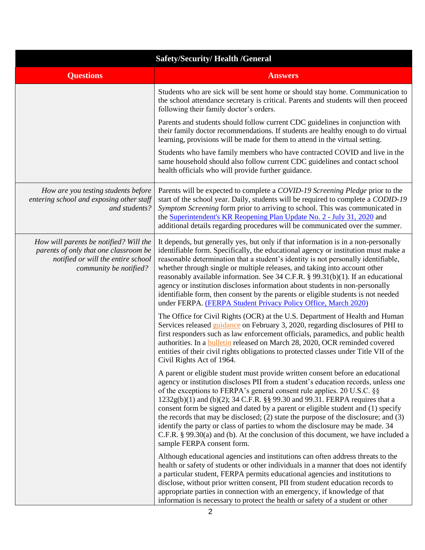| <b>Safety/Security/Health /General</b>                                                                                                          |                                                                                                                                                                                                                                                                                                                                                                                                                                                                                                                                                                                                                                                                                                                         |
|-------------------------------------------------------------------------------------------------------------------------------------------------|-------------------------------------------------------------------------------------------------------------------------------------------------------------------------------------------------------------------------------------------------------------------------------------------------------------------------------------------------------------------------------------------------------------------------------------------------------------------------------------------------------------------------------------------------------------------------------------------------------------------------------------------------------------------------------------------------------------------------|
| <b>Questions</b>                                                                                                                                | <b>Answers</b>                                                                                                                                                                                                                                                                                                                                                                                                                                                                                                                                                                                                                                                                                                          |
|                                                                                                                                                 | Students who are sick will be sent home or should stay home. Communication to<br>the school attendance secretary is critical. Parents and students will then proceed<br>following their family doctor's orders.                                                                                                                                                                                                                                                                                                                                                                                                                                                                                                         |
|                                                                                                                                                 | Parents and students should follow current CDC guidelines in conjunction with<br>their family doctor recommendations. If students are healthy enough to do virtual<br>learning, provisions will be made for them to attend in the virtual setting.                                                                                                                                                                                                                                                                                                                                                                                                                                                                      |
|                                                                                                                                                 | Students who have family members who have contracted COVID and live in the<br>same household should also follow current CDC guidelines and contact school<br>health officials who will provide further guidance.                                                                                                                                                                                                                                                                                                                                                                                                                                                                                                        |
| How are you testing students before<br>entering school and exposing other staff<br>and students?                                                | Parents will be expected to complete a COVID-19 Screening Pledge prior to the<br>start of the school year. Daily, students will be required to complete a CODID-19<br>Symptom Screening form prior to arriving to school. This was communicated in<br>the Superintendent's KR Reopening Plan Update No. 2 - July 31, 2020 and<br>additional details regarding procedures will be communicated over the summer.                                                                                                                                                                                                                                                                                                          |
| How will parents be notified? Will the<br>parents of only that one classroom be<br>notified or will the entire school<br>community be notified? | It depends, but generally yes, but only if that information is in a non-personally<br>identifiable form. Specifically, the educational agency or institution must make a<br>reasonable determination that a student's identity is not personally identifiable,<br>whether through single or multiple releases, and taking into account other<br>reasonably available information. See 34 C.F.R. § 99.31(b)(1). If an educational<br>agency or institution discloses information about students in non-personally<br>identifiable form, then consent by the parents or eligible students is not needed<br>under FERPA. (FERPA Student Privacy Policy Office, March 2020)                                                 |
|                                                                                                                                                 | The Office for Civil Rights (OCR) at the U.S. Department of Health and Human<br>Services released <i>guidance</i> on February 3, 2020, regarding disclosures of PHI to<br>first responders such as law enforcement officials, paramedics, and public health<br>authorities. In a <b>bulletin</b> released on March 28, 2020, OCR reminded covered<br>entities of their civil rights obligations to protected classes under Title VII of the<br>Civil Rights Act of 1964.                                                                                                                                                                                                                                                |
|                                                                                                                                                 | A parent or eligible student must provide written consent before an educational<br>agency or institution discloses PII from a student's education records, unless one<br>of the exceptions to FERPA's general consent rule applies. 20 U.S.C. §§<br>$1232g(b)(1)$ and (b)(2); 34 C.F.R. §§ 99.30 and 99.31. FERPA requires that a<br>consent form be signed and dated by a parent or eligible student and (1) specify<br>the records that may be disclosed; $(2)$ state the purpose of the disclosure; and $(3)$<br>identify the party or class of parties to whom the disclosure may be made. 34<br>C.F.R. $\S$ 99.30(a) and (b). At the conclusion of this document, we have included a<br>sample FERPA consent form. |
|                                                                                                                                                 | Although educational agencies and institutions can often address threats to the<br>health or safety of students or other individuals in a manner that does not identify<br>a particular student, FERPA permits educational agencies and institutions to<br>disclose, without prior written consent, PII from student education records to<br>appropriate parties in connection with an emergency, if knowledge of that<br>information is necessary to protect the health or safety of a student or other                                                                                                                                                                                                                |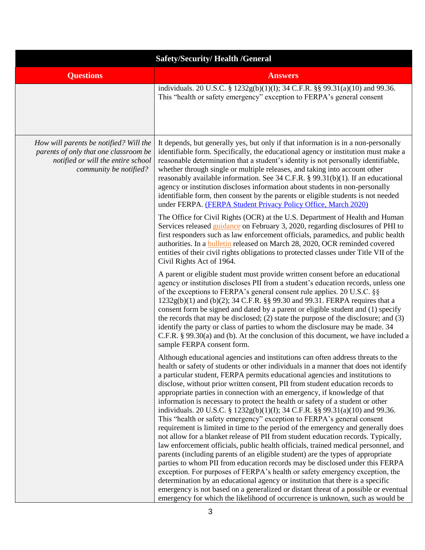| <b>Safety/Security/Health /General</b>                                                                                                          |                                                                                                                                                                                                                                                                                                                                                                                                                                                                                                                                                                                                                                                                                                                                                                                                                                                                                                                                                                                                                                                                                                                                                                                                                                                                                                                                                                                                                                                 |
|-------------------------------------------------------------------------------------------------------------------------------------------------|-------------------------------------------------------------------------------------------------------------------------------------------------------------------------------------------------------------------------------------------------------------------------------------------------------------------------------------------------------------------------------------------------------------------------------------------------------------------------------------------------------------------------------------------------------------------------------------------------------------------------------------------------------------------------------------------------------------------------------------------------------------------------------------------------------------------------------------------------------------------------------------------------------------------------------------------------------------------------------------------------------------------------------------------------------------------------------------------------------------------------------------------------------------------------------------------------------------------------------------------------------------------------------------------------------------------------------------------------------------------------------------------------------------------------------------------------|
| <b>Questions</b>                                                                                                                                | <b>Answers</b>                                                                                                                                                                                                                                                                                                                                                                                                                                                                                                                                                                                                                                                                                                                                                                                                                                                                                                                                                                                                                                                                                                                                                                                                                                                                                                                                                                                                                                  |
|                                                                                                                                                 | individuals. 20 U.S.C. § 1232g(b)(1)(I); 34 C.F.R. §§ 99.31(a)(10) and 99.36.<br>This "health or safety emergency" exception to FERPA's general consent                                                                                                                                                                                                                                                                                                                                                                                                                                                                                                                                                                                                                                                                                                                                                                                                                                                                                                                                                                                                                                                                                                                                                                                                                                                                                         |
| How will parents be notified? Will the<br>parents of only that one classroom be<br>notified or will the entire school<br>community be notified? | It depends, but generally yes, but only if that information is in a non-personally<br>identifiable form. Specifically, the educational agency or institution must make a<br>reasonable determination that a student's identity is not personally identifiable,<br>whether through single or multiple releases, and taking into account other<br>reasonably available information. See 34 C.F.R. § 99.31(b)(1). If an educational<br>agency or institution discloses information about students in non-personally<br>identifiable form, then consent by the parents or eligible students is not needed<br>under FERPA. (FERPA Student Privacy Policy Office, March 2020)                                                                                                                                                                                                                                                                                                                                                                                                                                                                                                                                                                                                                                                                                                                                                                         |
|                                                                                                                                                 | The Office for Civil Rights (OCR) at the U.S. Department of Health and Human<br>Services released guidance on February 3, 2020, regarding disclosures of PHI to<br>first responders such as law enforcement officials, paramedics, and public health<br>authorities. In a <b>bulletin</b> released on March 28, 2020, OCR reminded covered<br>entities of their civil rights obligations to protected classes under Title VII of the<br>Civil Rights Act of 1964.                                                                                                                                                                                                                                                                                                                                                                                                                                                                                                                                                                                                                                                                                                                                                                                                                                                                                                                                                                               |
|                                                                                                                                                 | A parent or eligible student must provide written consent before an educational<br>agency or institution discloses PII from a student's education records, unless one<br>of the exceptions to FERPA's general consent rule applies. 20 U.S.C. §§<br>1232g(b)(1) and (b)(2); 34 C.F.R. §§ 99.30 and 99.31. FERPA requires that a<br>consent form be signed and dated by a parent or eligible student and (1) specify<br>the records that may be disclosed; (2) state the purpose of the disclosure; and (3)<br>identify the party or class of parties to whom the disclosure may be made. 34<br>C.F.R. § 99.30(a) and (b). At the conclusion of this document, we have included a<br>sample FERPA consent form.                                                                                                                                                                                                                                                                                                                                                                                                                                                                                                                                                                                                                                                                                                                                  |
|                                                                                                                                                 | Although educational agencies and institutions can often address threats to the<br>health or safety of students or other individuals in a manner that does not identify<br>a particular student, FERPA permits educational agencies and institutions to<br>disclose, without prior written consent, PII from student education records to<br>appropriate parties in connection with an emergency, if knowledge of that<br>information is necessary to protect the health or safety of a student or other<br>individuals. 20 U.S.C. § 1232g(b)(1)(I); 34 C.F.R. §§ 99.31(a)(10) and 99.36.<br>This "health or safety emergency" exception to FERPA's general consent<br>requirement is limited in time to the period of the emergency and generally does<br>not allow for a blanket release of PII from student education records. Typically,<br>law enforcement officials, public health officials, trained medical personnel, and<br>parents (including parents of an eligible student) are the types of appropriate<br>parties to whom PII from education records may be disclosed under this FERPA<br>exception. For purposes of FERPA's health or safety emergency exception, the<br>determination by an educational agency or institution that there is a specific<br>emergency is not based on a generalized or distant threat of a possible or eventual<br>emergency for which the likelihood of occurrence is unknown, such as would be |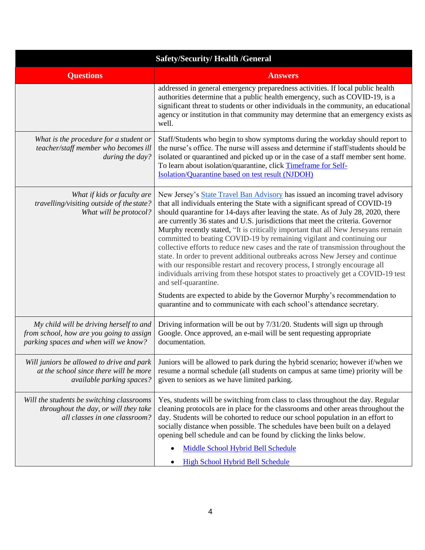| <b>Safety/Security/Health /General</b>                                                                                       |                                                                                                                                                                                                                                                                                                                                                                                                                                                                                                                                                                                                                                                                                                                                                                                                                                                                                                                                                                                                                                         |
|------------------------------------------------------------------------------------------------------------------------------|-----------------------------------------------------------------------------------------------------------------------------------------------------------------------------------------------------------------------------------------------------------------------------------------------------------------------------------------------------------------------------------------------------------------------------------------------------------------------------------------------------------------------------------------------------------------------------------------------------------------------------------------------------------------------------------------------------------------------------------------------------------------------------------------------------------------------------------------------------------------------------------------------------------------------------------------------------------------------------------------------------------------------------------------|
| <b>Questions</b>                                                                                                             | <b>Answers</b>                                                                                                                                                                                                                                                                                                                                                                                                                                                                                                                                                                                                                                                                                                                                                                                                                                                                                                                                                                                                                          |
|                                                                                                                              | addressed in general emergency preparedness activities. If local public health<br>authorities determine that a public health emergency, such as COVID-19, is a<br>significant threat to students or other individuals in the community, an educational<br>agency or institution in that community may determine that an emergency exists as<br>well.                                                                                                                                                                                                                                                                                                                                                                                                                                                                                                                                                                                                                                                                                    |
| What is the procedure for a student or<br>teacher/staff member who becomes ill<br>during the day?                            | Staff/Students who begin to show symptoms during the workday should report to<br>the nurse's office. The nurse will assess and determine if staff/students should be<br>isolated or quarantined and picked up or in the case of a staff member sent home.<br>To learn about isolation/quarantine, click Timeframe for Self-<br>Isolation/Quarantine based on test result (NJDOH)                                                                                                                                                                                                                                                                                                                                                                                                                                                                                                                                                                                                                                                        |
| What if kids or faculty are<br>travelling/visiting outside of the state?<br>What will be protocol?                           | New Jersey's <b>State Travel Ban Advisory</b> has issued an incoming travel advisory<br>that all individuals entering the State with a significant spread of COVID-19<br>should quarantine for 14-days after leaving the state. As of July 28, 2020, there<br>are currently 36 states and U.S. jurisdictions that meet the criteria. Governor<br>Murphy recently stated, "It is critically important that all New Jerseyans remain<br>committed to beating COVID-19 by remaining vigilant and continuing our<br>collective efforts to reduce new cases and the rate of transmission throughout the<br>state. In order to prevent additional outbreaks across New Jersey and continue<br>with our responsible restart and recovery process, I strongly encourage all<br>individuals arriving from these hotspot states to proactively get a COVID-19 test<br>and self-quarantine.<br>Students are expected to abide by the Governor Murphy's recommendation to<br>quarantine and to communicate with each school's attendance secretary. |
| My child will be driving herself to and<br>from school, how are you going to assign<br>parking spaces and when will we know? | Driving information will be out by 7/31/20. Students will sign up through<br>Google. Once approved, an e-mail will be sent requesting appropriate<br>documentation.                                                                                                                                                                                                                                                                                                                                                                                                                                                                                                                                                                                                                                                                                                                                                                                                                                                                     |
| Will juniors be allowed to drive and park<br>at the school since there will be more<br>available parking spaces?             | Juniors will be allowed to park during the hybrid scenario; however if/when we<br>resume a normal schedule (all students on campus at same time) priority will be<br>given to seniors as we have limited parking.                                                                                                                                                                                                                                                                                                                                                                                                                                                                                                                                                                                                                                                                                                                                                                                                                       |
| Will the students be switching classrooms<br>throughout the day, or will they take<br>all classes in one classroom?          | Yes, students will be switching from class to class throughout the day. Regular<br>cleaning protocols are in place for the classrooms and other areas throughout the<br>day. Students will be cohorted to reduce our school population in an effort to<br>socially distance when possible. The schedules have been built on a delayed<br>opening bell schedule and can be found by clicking the links below.                                                                                                                                                                                                                                                                                                                                                                                                                                                                                                                                                                                                                            |
|                                                                                                                              | Middle School Hybrid Bell Schedule<br><b>High School Hybrid Bell Schedule</b>                                                                                                                                                                                                                                                                                                                                                                                                                                                                                                                                                                                                                                                                                                                                                                                                                                                                                                                                                           |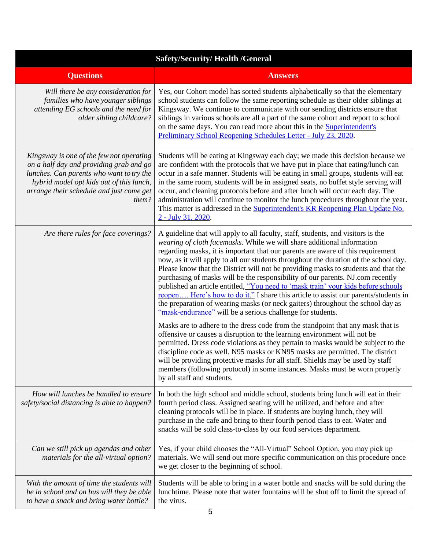| <b>Safety/Security/Health /General</b>                                                                                                                                                                                           |                                                                                                                                                                                                                                                                                                                                                                                                                                                                                                                                                                                                                                                                                                                                                                                                                                            |
|----------------------------------------------------------------------------------------------------------------------------------------------------------------------------------------------------------------------------------|--------------------------------------------------------------------------------------------------------------------------------------------------------------------------------------------------------------------------------------------------------------------------------------------------------------------------------------------------------------------------------------------------------------------------------------------------------------------------------------------------------------------------------------------------------------------------------------------------------------------------------------------------------------------------------------------------------------------------------------------------------------------------------------------------------------------------------------------|
| <b>Questions</b>                                                                                                                                                                                                                 | <b>Answers</b>                                                                                                                                                                                                                                                                                                                                                                                                                                                                                                                                                                                                                                                                                                                                                                                                                             |
| Will there be any consideration for<br>families who have younger siblings<br>attending EG schools and the need for<br>older sibling childcare?                                                                                   | Yes, our Cohort model has sorted students alphabetically so that the elementary<br>school students can follow the same reporting schedule as their older siblings at<br>Kingsway. We continue to communicate with our sending districts ensure that<br>siblings in various schools are all a part of the same cohort and report to school<br>on the same days. You can read more about this in the <b>Superintendent's</b><br>Preliminary School Reopening Schedules Letter - July 23, 2020.                                                                                                                                                                                                                                                                                                                                               |
| Kingsway is one of the few not operating<br>on a half day and providing grab and go<br>lunches. Can parents who want to try the<br>hybrid model opt kids out of this lunch,<br>arrange their schedule and just come get<br>them? | Students will be eating at Kingsway each day; we made this decision because we<br>are confident with the protocols that we have put in place that eating/lunch can<br>occur in a safe manner. Students will be eating in small groups, students will eat<br>in the same room, students will be in assigned seats, no buffet style serving will<br>occur, and cleaning protocols before and after lunch will occur each day. The<br>administration will continue to monitor the lunch procedures throughout the year.<br>This matter is addressed in the <b>Superintendent's KR Reopening Plan Update No.</b><br>2 - July 31, 2020.                                                                                                                                                                                                         |
| Are there rules for face coverings?                                                                                                                                                                                              | A guideline that will apply to all faculty, staff, students, and visitors is the<br>wearing of cloth facemasks. While we will share additional information<br>regarding masks, it is important that our parents are aware of this requirement<br>now, as it will apply to all our students throughout the duration of the school day.<br>Please know that the District will not be providing masks to students and that the<br>purchasing of masks will be the responsibility of our parents. NJ.com recently<br>published an article entitled, "You need to 'mask train' your kids before schools<br>reopen Here's how to do it." I share this article to assist our parents/students in<br>the preparation of wearing masks (or neck gaiters) throughout the school day as<br>"mask-endurance" will be a serious challenge for students. |
|                                                                                                                                                                                                                                  | Masks are to adhere to the dress code from the standpoint that any mask that is<br>offensive or causes a disruption to the learning environment will not be<br>permitted. Dress code violations as they pertain to masks would be subject to the<br>discipline code as well. N95 masks or KN95 masks are permitted. The district<br>will be providing protective masks for all staff. Shields may be used by staff<br>members (following protocol) in some instances. Masks must be worn properly<br>by all staff and students.                                                                                                                                                                                                                                                                                                            |
| How will lunches be handled to ensure<br>safety/social distancing is able to happen?                                                                                                                                             | In both the high school and middle school, students bring lunch will eat in their<br>fourth period class. Assigned seating will be utilized, and before and after<br>cleaning protocols will be in place. If students are buying lunch, they will<br>purchase in the cafe and bring to their fourth period class to eat. Water and<br>snacks will be sold class-to-class by our food services department.                                                                                                                                                                                                                                                                                                                                                                                                                                  |
| Can we still pick up agendas and other<br>materials for the all-virtual option?                                                                                                                                                  | Yes, if your child chooses the "All-Virtual" School Option, you may pick up<br>materials. We will send out more specific communication on this procedure once<br>we get closer to the beginning of school.                                                                                                                                                                                                                                                                                                                                                                                                                                                                                                                                                                                                                                 |
| With the amount of time the students will<br>be in school and on bus will they be able<br>to have a snack and bring water bottle?                                                                                                | Students will be able to bring in a water bottle and snacks will be sold during the<br>lunchtime. Please note that water fountains will be shut off to limit the spread of<br>the virus.                                                                                                                                                                                                                                                                                                                                                                                                                                                                                                                                                                                                                                                   |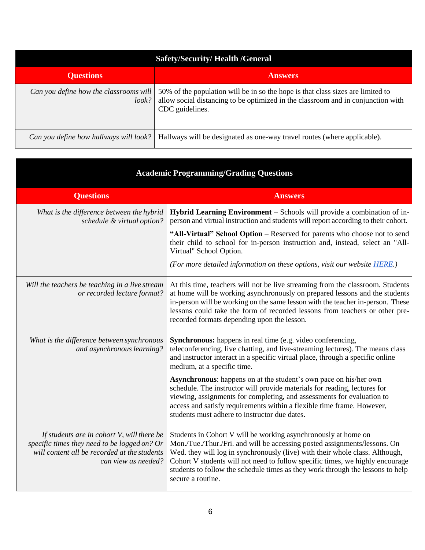| <b>Safety/Security/Health /General</b>          |                                                                                                                                                                                        |
|-------------------------------------------------|----------------------------------------------------------------------------------------------------------------------------------------------------------------------------------------|
| <b>Questions</b>                                | <b>Answers</b>                                                                                                                                                                         |
| Can you define how the classrooms will<br>look? | 50% of the population will be in so the hope is that class sizes are limited to<br>allow social distancing to be optimized in the classroom and in conjunction with<br>CDC guidelines. |
| Can you define how hallways will look?          | Hallways will be designated as one-way travel routes (where applicable).                                                                                                               |

| <b>Academic Programming/Grading Questions</b>                                                                                                                     |                                                                                                                                                                                                                                                                                                                                                                                                                     |
|-------------------------------------------------------------------------------------------------------------------------------------------------------------------|---------------------------------------------------------------------------------------------------------------------------------------------------------------------------------------------------------------------------------------------------------------------------------------------------------------------------------------------------------------------------------------------------------------------|
| <b>Questions</b>                                                                                                                                                  | <b>Answers</b>                                                                                                                                                                                                                                                                                                                                                                                                      |
| What is the difference between the hybrid<br>schedule & virtual option?                                                                                           | Hybrid Learning Environment - Schools will provide a combination of in-<br>person and virtual instruction and students will report according to their cohort.                                                                                                                                                                                                                                                       |
|                                                                                                                                                                   | "All-Virtual" School Option – Reserved for parents who choose not to send<br>their child to school for in-person instruction and, instead, select an "All-<br>Virtual" School Option.                                                                                                                                                                                                                               |
|                                                                                                                                                                   | (For more detailed information on these options, visit our website <b>HERE.)</b>                                                                                                                                                                                                                                                                                                                                    |
| Will the teachers be teaching in a live stream<br>or recorded lecture format?                                                                                     | At this time, teachers will not be live streaming from the classroom. Students<br>at home will be working asynchronously on prepared lessons and the students<br>in-person will be working on the same lesson with the teacher in-person. These<br>lessons could take the form of recorded lessons from teachers or other pre-<br>recorded formats depending upon the lesson.                                       |
| What is the difference between synchronous<br>and asynchronous learning?                                                                                          | <b>Synchronous:</b> happens in real time (e.g. video conferencing,<br>teleconferencing, live chatting, and live-streaming lectures). The means class<br>and instructor interact in a specific virtual place, through a specific online<br>medium, at a specific time.                                                                                                                                               |
|                                                                                                                                                                   | <b>Asynchronous:</b> happens on at the student's own pace on his/her own<br>schedule. The instructor will provide materials for reading, lectures for<br>viewing, assignments for completing, and assessments for evaluation to<br>access and satisfy requirements within a flexible time frame. However,<br>students must adhere to instructor due dates.                                                          |
| If students are in cohort V, will there be<br>specific times they need to be logged on? Or<br>will content all be recorded at the students<br>can view as needed? | Students in Cohort V will be working asynchronously at home on<br>Mon./Tue./Thur./Fri. and will be accessing posted assignments/lessons. On<br>Wed. they will log in synchronously (live) with their whole class. Although,<br>Cohort V students will not need to follow specific times, we highly encourage<br>students to follow the schedule times as they work through the lessons to help<br>secure a routine. |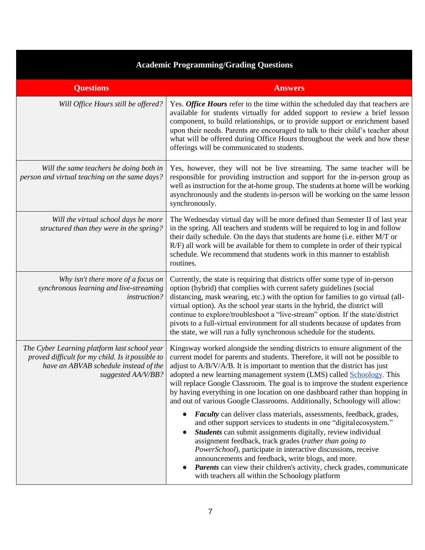| <b>Academic Programming/Grading Questions</b>                                                                                                                   |                                                                                                                                                                                                                                                                                                                                                                                                                                                                                                                                                                      |
|-----------------------------------------------------------------------------------------------------------------------------------------------------------------|----------------------------------------------------------------------------------------------------------------------------------------------------------------------------------------------------------------------------------------------------------------------------------------------------------------------------------------------------------------------------------------------------------------------------------------------------------------------------------------------------------------------------------------------------------------------|
| <b>Questions</b>                                                                                                                                                | <b>Answers</b>                                                                                                                                                                                                                                                                                                                                                                                                                                                                                                                                                       |
| Will Office Hours still be offered?                                                                                                                             | Yes. Office Hours refer to the time within the scheduled day that teachers are<br>available for students virtually for added support to review a brief lesson<br>component, to build relationships, or to provide support or enrichment based<br>upon their needs. Parents are encouraged to talk to their child's teacher about<br>what will be offered during Office Hours throughout the week and how these<br>offerings will be communicated to students.                                                                                                        |
| Will the same teachers be doing both in<br>person and virtual teaching on the same days?                                                                        | Yes, however, they will not be live streaming. The same teacher will be<br>responsible for providing instruction and support for the in-person group as<br>well as instruction for the at-home group. The students at home will be working<br>asynchronously and the students in-person will be working on the same lesson<br>synchronously.                                                                                                                                                                                                                         |
| Will the virtual school days be more<br>structured than they were in the spring?                                                                                | The Wednesday virtual day will be more defined than Semester II of last year<br>in the spring. All teachers and students will be required to log in and follow<br>their daily schedule. On the days that students are home (i.e. either M/T or<br>R/F) all work will be available for them to complete in order of their typical<br>schedule. We recommend that students work in this manner to establish<br>routines.                                                                                                                                               |
| Why isn't there more of a focus on<br>synchronous learning and live-streaming<br>instruction?                                                                   | Currently, the state is requiring that districts offer some type of in-person<br>option (hybrid) that complies with current safety guidelines (social<br>distancing, mask wearing, etc.) with the option for families to go virtual (all-<br>virtual option). As the school year starts in the hybrid, the district will<br>continue to explore/troubleshoot a "live-stream" option. If the state/district<br>pivots to a full-virtual environment for all students because of updates from<br>the state, we will run a fully synchronous schedule for the students. |
| The Cyber Learning platform last school year<br>proved difficult for my child. Is it possible to<br>have an ABVAB schedule instead of the<br>suggested AA/V/BB? | Kingsway worked alongside the sending districts to ensure alignment of the<br>current model for parents and students. Therefore, it will not be possible to<br>adjust to A/B/V/A/B. It is important to mention that the district has just<br>adopted a new learning management system (LMS) called Schoology. This<br>will replace Google Classroom. The goal is to improve the student experience<br>by having everything in one location on one dashboard rather than hopping in<br>and out of various Google Classrooms. Additionally, Schoology will allow:      |
|                                                                                                                                                                 | Faculty can deliver class materials, assessments, feedback, grades,<br>and other support services to students in one "digitalecosystem."<br>Students can submit assignments digitally, review individual<br>assignment feedback, track grades (rather than going to<br>PowerSchool), participate in interactive discussions, receive<br>announcements and feedback, write blogs, and more.<br><b>Parents</b> can view their children's activity, check grades, communicate<br>$\bullet$<br>with teachers all within the Schoology platform                           |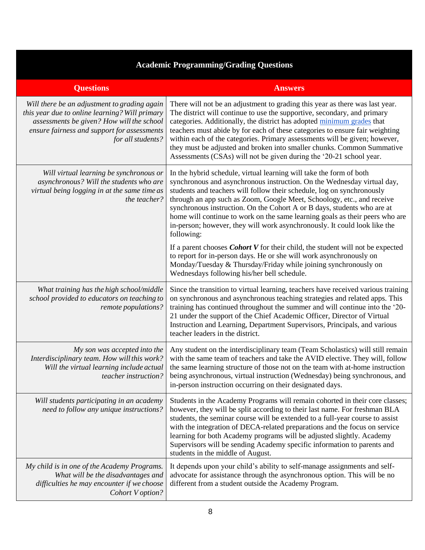## **Academic Programming/Grading Questions**

| <b>Questions</b>                                                                                                                                                                                                | <b>Answers</b>                                                                                                                                                                                                                                                                                                                                                                                                                                                                                                                                           |
|-----------------------------------------------------------------------------------------------------------------------------------------------------------------------------------------------------------------|----------------------------------------------------------------------------------------------------------------------------------------------------------------------------------------------------------------------------------------------------------------------------------------------------------------------------------------------------------------------------------------------------------------------------------------------------------------------------------------------------------------------------------------------------------|
| Will there be an adjustment to grading again<br>this year due to online learning? Will primary<br>assessments be given? How will the school<br>ensure fairness and support for assessments<br>for all students? | There will not be an adjustment to grading this year as there was last year.<br>The district will continue to use the supportive, secondary, and primary<br>categories. Additionally, the district has adopted minimum grades that<br>teachers must abide by for each of these categories to ensure fair weighting<br>within each of the categories. Primary assessments will be given; however,<br>they must be adjusted and broken into smaller chunks. Common Summative<br>Assessments (CSAs) will not be given during the '20-21 school year.        |
| Will virtual learning be synchronous or<br>asynchronous? Will the students who are<br>virtual being logging in at the same time as<br>the teacher?                                                              | In the hybrid schedule, virtual learning will take the form of both<br>synchronous and asynchronous instruction. On the Wednesday virtual day,<br>students and teachers will follow their schedule, log on synchronously<br>through an app such as Zoom, Google Meet, Schoology, etc., and receive<br>synchronous instruction. On the Cohort A or B days, students who are at<br>home will continue to work on the same learning goals as their peers who are<br>in-person; however, they will work asynchronously. It could look like the<br>following: |
|                                                                                                                                                                                                                 | If a parent chooses <i>Cohort V</i> for their child, the student will not be expected<br>to report for in-person days. He or she will work asynchronously on<br>Monday/Tuesday & Thursday/Friday while joining synchronously on<br>Wednesdays following his/her bell schedule.                                                                                                                                                                                                                                                                           |
| What training has the high school/middle<br>school provided to educators on teaching to<br>remote populations?                                                                                                  | Since the transition to virtual learning, teachers have received various training<br>on synchronous and asynchronous teaching strategies and related apps. This<br>training has continued throughout the summer and will continue into the '20-<br>21 under the support of the Chief Academic Officer, Director of Virtual<br>Instruction and Learning, Department Supervisors, Principals, and various<br>teacher leaders in the district.                                                                                                              |
| My son was accepted into the<br>Interdisciplinary team. How will this work?<br>Will the virtual learning include actual<br>teacher instruction?                                                                 | Any student on the interdisciplinary team (Team Scholastics) will still remain<br>with the same team of teachers and take the AVID elective. They will, follow<br>the same learning structure of those not on the team with at-home instruction<br>being asynchronous, virtual instruction (Wednesday) being synchronous, and<br>in-person instruction occurring on their designated days.                                                                                                                                                               |
| Will students participating in an academy<br>need to follow any unique instructions?                                                                                                                            | Students in the Academy Programs will remain cohorted in their core classes;<br>however, they will be split according to their last name. For freshman BLA<br>students, the seminar course will be extended to a full-year course to assist<br>with the integration of DECA-related preparations and the focus on service<br>learning for both Academy programs will be adjusted slightly. Academy<br>Supervisors will be sending Academy specific information to parents and<br>students in the middle of August.                                       |
| My child is in one of the Academy Programs.<br>What will be the disadvantages and<br>difficulties he may encounter if we choose<br>Cohort V option?                                                             | It depends upon your child's ability to self-manage assignments and self-<br>advocate for assistance through the asynchronous option. This will be no<br>different from a student outside the Academy Program.                                                                                                                                                                                                                                                                                                                                           |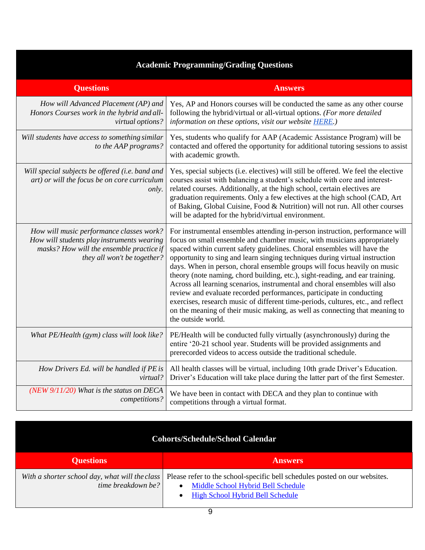## **Academic Programming/Grading Questions**

| <b>Questions</b>                                                                                                                                                  | <b>Answers</b>                                                                                                                                                                                                                                                                                                                                                                                                                                                                                                                                                                                                                                                                                                                                                                                                               |
|-------------------------------------------------------------------------------------------------------------------------------------------------------------------|------------------------------------------------------------------------------------------------------------------------------------------------------------------------------------------------------------------------------------------------------------------------------------------------------------------------------------------------------------------------------------------------------------------------------------------------------------------------------------------------------------------------------------------------------------------------------------------------------------------------------------------------------------------------------------------------------------------------------------------------------------------------------------------------------------------------------|
| How will Advanced Placement (AP) and<br>Honors Courses work in the hybrid and all-<br>virtual options?                                                            | Yes, AP and Honors courses will be conducted the same as any other course<br>following the hybrid/virtual or all-virtual options. (For more detailed<br>information on these options, visit our website HERE.)                                                                                                                                                                                                                                                                                                                                                                                                                                                                                                                                                                                                               |
| Will students have access to something similar<br>to the AAP programs?                                                                                            | Yes, students who qualify for AAP (Academic Assistance Program) will be<br>contacted and offered the opportunity for additional tutoring sessions to assist<br>with academic growth.                                                                                                                                                                                                                                                                                                                                                                                                                                                                                                                                                                                                                                         |
| Will special subjects be offered (i.e. band and<br>art) or will the focus be on core curriculum<br>only.                                                          | Yes, special subjects (i.e. electives) will still be offered. We feel the elective<br>courses assist with balancing a student's schedule with core and interest-<br>related courses. Additionally, at the high school, certain electives are<br>graduation requirements. Only a few electives at the high school (CAD, Art<br>of Baking, Global Cuisine, Food & Nutrition) will not run. All other courses<br>will be adapted for the hybrid/virtual environment.                                                                                                                                                                                                                                                                                                                                                            |
| How will music performance classes work?<br>How will students play instruments wearing<br>masks? How will the ensemble practice if<br>they all won't be together? | For instrumental ensembles attending in-person instruction, performance will<br>focus on small ensemble and chamber music, with musicians appropriately<br>spaced within current safety guidelines. Choral ensembles will have the<br>opportunity to sing and learn singing techniques during virtual instruction<br>days. When in person, choral ensemble groups will focus heavily on music<br>theory (note naming, chord building, etc.), sight-reading, and ear training.<br>Across all learning scenarios, instrumental and choral ensembles will also<br>review and evaluate recorded performances, participate in conducting<br>exercises, research music of different time-periods, cultures, etc., and reflect<br>on the meaning of their music making, as well as connecting that meaning to<br>the outside world. |
| What PE/Health (gym) class will look like?                                                                                                                        | PE/Health will be conducted fully virtually (asynchronously) during the<br>entire '20-21 school year. Students will be provided assignments and<br>prerecorded videos to access outside the traditional schedule.                                                                                                                                                                                                                                                                                                                                                                                                                                                                                                                                                                                                            |
| How Drivers Ed. will be handled if PE is<br>virtual?                                                                                                              | All health classes will be virtual, including 10th grade Driver's Education.<br>Driver's Education will take place during the latter part of the first Semester.                                                                                                                                                                                                                                                                                                                                                                                                                                                                                                                                                                                                                                                             |
| (NEW $9/11/20$ ) What is the status on DECA<br>competitions?                                                                                                      | We have been in contact with DECA and they plan to continue with<br>competitions through a virtual format.                                                                                                                                                                                                                                                                                                                                                                                                                                                                                                                                                                                                                                                                                                                   |

| <b>Cohorts/Schedule/School Calendar</b>                              |                                                                                                                                                             |
|----------------------------------------------------------------------|-------------------------------------------------------------------------------------------------------------------------------------------------------------|
| <b>Questions</b>                                                     | <b>Answers</b>                                                                                                                                              |
| With a shorter school day, what will the class<br>time breakdown be? | Please refer to the school-specific bell schedules posted on our websites.<br>Middle School Hybrid Bell Schedule<br><b>High School Hybrid Bell Schedule</b> |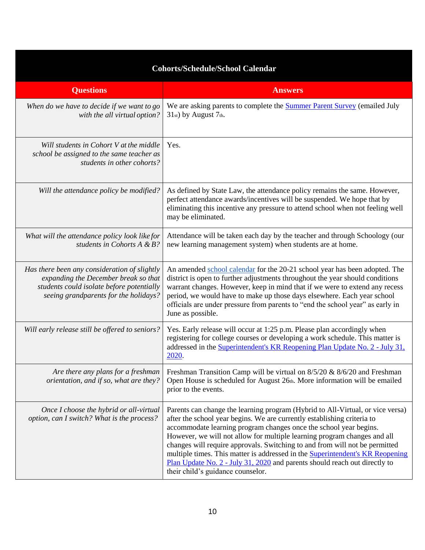| <b>Cohorts/Schedule/School Calendar</b>                                                                                                                                    |                                                                                                                                                                                                                                                                                                                                                                                                                                                                                                                                                                                                      |
|----------------------------------------------------------------------------------------------------------------------------------------------------------------------------|------------------------------------------------------------------------------------------------------------------------------------------------------------------------------------------------------------------------------------------------------------------------------------------------------------------------------------------------------------------------------------------------------------------------------------------------------------------------------------------------------------------------------------------------------------------------------------------------------|
| <b>Questions</b>                                                                                                                                                           | <b>Answers</b>                                                                                                                                                                                                                                                                                                                                                                                                                                                                                                                                                                                       |
| When do we have to decide if we want to go<br>with the all virtual option?                                                                                                 | We are asking parents to complete the <b>Summer Parent Survey</b> (emailed July<br>$31st$ ) by August $7th$ .                                                                                                                                                                                                                                                                                                                                                                                                                                                                                        |
| Will students in Cohort V at the middle<br>school be assigned to the same teacher as<br>students in other cohorts?                                                         | Yes.                                                                                                                                                                                                                                                                                                                                                                                                                                                                                                                                                                                                 |
| Will the attendance policy be modified?                                                                                                                                    | As defined by State Law, the attendance policy remains the same. However,<br>perfect attendance awards/incentives will be suspended. We hope that by<br>eliminating this incentive any pressure to attend school when not feeling well<br>may be eliminated.                                                                                                                                                                                                                                                                                                                                         |
| What will the attendance policy look like for<br>students in Cohorts A & B?                                                                                                | Attendance will be taken each day by the teacher and through Schoology (our<br>new learning management system) when students are at home.                                                                                                                                                                                                                                                                                                                                                                                                                                                            |
| Has there been any consideration of slightly<br>expanding the December break so that<br>students could isolate before potentially<br>seeing grandparents for the holidays? | An amended school calendar for the 20-21 school year has been adopted. The<br>district is open to further adjustments throughout the year should conditions<br>warrant changes. However, keep in mind that if we were to extend any recess<br>period, we would have to make up those days elsewhere. Each year school<br>officials are under pressure from parents to "end the school year" as early in<br>June as possible.                                                                                                                                                                         |
| Will early release still be offered to seniors?                                                                                                                            | Yes. Early release will occur at 1:25 p.m. Please plan accordingly when<br>registering for college courses or developing a work schedule. This matter is<br>addressed in the Superintendent's KR Reopening Plan Update No. 2 - July 31,<br>2020.                                                                                                                                                                                                                                                                                                                                                     |
| Are there any plans for a freshman<br>orientation, and if so, what are they?                                                                                               | Freshman Transition Camp will be virtual on 8/5/20 & 8/6/20 and Freshman<br>Open House is scheduled for August 26th. More information will be emailed<br>prior to the events.                                                                                                                                                                                                                                                                                                                                                                                                                        |
| Once I choose the hybrid or all-virtual<br>option, can I switch? What is the process?                                                                                      | Parents can change the learning program (Hybrid to All-Virtual, or vice versa)<br>after the school year begins. We are currently establishing criteria to<br>accommodate learning program changes once the school year begins.<br>However, we will not allow for multiple learning program changes and all<br>changes will require approvals. Switching to and from will not be permitted<br>multiple times. This matter is addressed in the <b>Superintendent's KR Reopening</b><br>Plan Update No. 2 - July 31, 2020 and parents should reach out directly to<br>their child's guidance counselor. |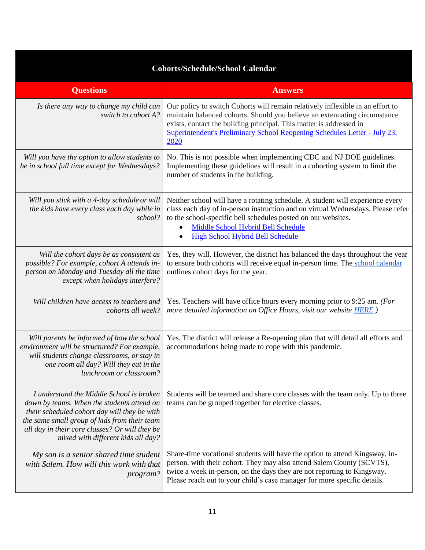| <b>Cohorts/Schedule/School Calendar</b>                                                                                                                                                                                                                                        |                                                                                                                                                                                                                                                                                                                         |
|--------------------------------------------------------------------------------------------------------------------------------------------------------------------------------------------------------------------------------------------------------------------------------|-------------------------------------------------------------------------------------------------------------------------------------------------------------------------------------------------------------------------------------------------------------------------------------------------------------------------|
| <b>Questions</b>                                                                                                                                                                                                                                                               | <b>Answers</b>                                                                                                                                                                                                                                                                                                          |
| Is there any way to change my child can<br>switch to cohort A?                                                                                                                                                                                                                 | Our policy to switch Cohorts will remain relatively inflexible in an effort to<br>maintain balanced cohorts. Should you believe an extenuating circumstance<br>exists, contact the building principal. This matter is addressed in<br>Superintendent's Preliminary School Reopening Schedules Letter - July 23,<br>2020 |
| Will you have the option to allow students to<br>be in school full time except for Wednesdays?                                                                                                                                                                                 | No. This is not possible when implementing CDC and NJ DOE guidelines.<br>Implementing these guidelines will result in a cohorting system to limit the<br>number of students in the building.                                                                                                                            |
| Will you stick with a 4-day schedule or will<br>the kids have every class each day while in<br>school?                                                                                                                                                                         | Neither school will have a rotating schedule. A student will experience every<br>class each day of in-person instruction and on virtual Wednesdays. Please refer<br>to the school-specific bell schedules posted on our websites.<br>Middle School Hybrid Bell Schedule<br><b>High School Hybrid Bell Schedule</b>      |
| Will the cohort days be as consistent as<br>possible? For example, cohort A attends in-<br>person on Monday and Tuesday all the time<br>except when holidays interfere?                                                                                                        | Yes, they will. However, the district has balanced the days throughout the year<br>to ensure both cohorts will receive equal in-person time. The school calendar<br>outlines cohort days for the year.                                                                                                                  |
| Will children have access to teachers and<br>cohorts all week?                                                                                                                                                                                                                 | Yes. Teachers will have office hours every morning prior to 9:25 am. (For<br>more detailed information on Office Hours, visit our website <b>HERE</b> .)                                                                                                                                                                |
| Will parents be informed of how the school<br>environment will be structured? For example,<br>will students change classrooms, or stay in<br>one room all day? Will they eat in the<br>lunchroom or classroom?                                                                 | Yes. The district will release a Re-opening plan that will detail all efforts and<br>accommodations being made to cope with this pandemic.                                                                                                                                                                              |
| I understand the Middle School is broken<br>down by teams. When the students attend on<br>their scheduled cohort day will they be with<br>the same small group of kids from their team<br>all day in their core classes? Or will they be<br>mixed with different kids all day? | Students will be teamed and share core classes with the team only. Up to three<br>teams can be grouped together for elective classes.                                                                                                                                                                                   |
| My son is a senior shared time student<br>with Salem. How will this work with that<br>program?                                                                                                                                                                                 | Share-time vocational students will have the option to attend Kingsway, in-<br>person, with their cohort. They may also attend Salem County (SCVTS),<br>twice a week in-person, on the days they are not reporting to Kingsway.<br>Please reach out to your child's case manager for more specific details.             |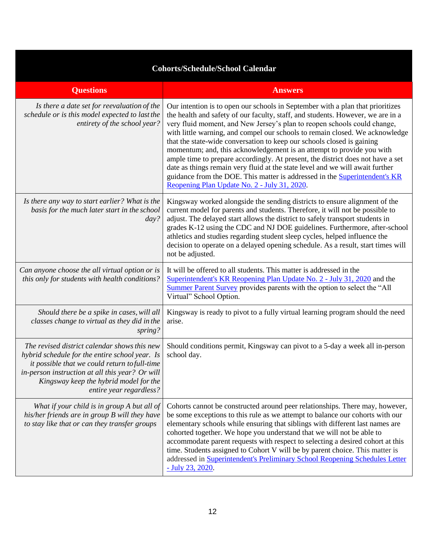| <b>Cohorts/Schedule/School Calendar</b>                                                                                                                                                                                                                                 |                                                                                                                                                                                                                                                                                                                                                                                                                                                                                                                                                                                                                                                                                                                                                                                           |
|-------------------------------------------------------------------------------------------------------------------------------------------------------------------------------------------------------------------------------------------------------------------------|-------------------------------------------------------------------------------------------------------------------------------------------------------------------------------------------------------------------------------------------------------------------------------------------------------------------------------------------------------------------------------------------------------------------------------------------------------------------------------------------------------------------------------------------------------------------------------------------------------------------------------------------------------------------------------------------------------------------------------------------------------------------------------------------|
| <b>Questions</b>                                                                                                                                                                                                                                                        | <b>Answers</b>                                                                                                                                                                                                                                                                                                                                                                                                                                                                                                                                                                                                                                                                                                                                                                            |
| Is there a date set for reevaluation of the<br>schedule or is this model expected to last the<br>entirety of the school year?                                                                                                                                           | Our intention is to open our schools in September with a plan that prioritizes<br>the health and safety of our faculty, staff, and students. However, we are in a<br>very fluid moment, and New Jersey's plan to reopen schools could change,<br>with little warning, and compel our schools to remain closed. We acknowledge<br>that the state-wide conversation to keep our schools closed is gaining<br>momentum; and, this acknowledgement is an attempt to provide you with<br>ample time to prepare accordingly. At present, the district does not have a set<br>date as things remain very fluid at the state level and we will await further<br>guidance from the DOE. This matter is addressed in the <b>Superintendent's KR</b><br>Reopening Plan Update No. 2 - July 31, 2020. |
| Is there any way to start earlier? What is the<br>basis for the much later start in the school<br>$day$ ?                                                                                                                                                               | Kingsway worked alongside the sending districts to ensure alignment of the<br>current model for parents and students. Therefore, it will not be possible to<br>adjust. The delayed start allows the district to safely transport students in<br>grades K-12 using the CDC and NJ DOE guidelines. Furthermore, after-school<br>athletics and studies regarding student sleep cycles, helped influence the<br>decision to operate on a delayed opening schedule. As a result, start times will<br>not be adjusted.                                                                                                                                                                                                                                                                          |
| Can anyone choose the all virtual option or is<br>this only for students with health conditions?                                                                                                                                                                        | It will be offered to all students. This matter is addressed in the<br>Superintendent's KR Reopening Plan Update No. 2 - July 31, 2020 and the<br>Summer Parent Survey provides parents with the option to select the "All<br>Virtual" School Option.                                                                                                                                                                                                                                                                                                                                                                                                                                                                                                                                     |
| Should there be a spike in cases, will all<br>classes change to virtual as they did in the<br>spring?                                                                                                                                                                   | Kingsway is ready to pivot to a fully virtual learning program should the need<br>arise.                                                                                                                                                                                                                                                                                                                                                                                                                                                                                                                                                                                                                                                                                                  |
| The revised district calendar shows this new<br>hybrid schedule for the entire school year. Is<br>it possible that we could return to full-time<br>in-person instruction at all this year? Or will<br>Kingsway keep the hybrid model for the<br>entire year regardless? | Should conditions permit, Kingsway can pivot to a 5-day a week all in-person<br>school day.                                                                                                                                                                                                                                                                                                                                                                                                                                                                                                                                                                                                                                                                                               |
| What if your child is in group A but all of<br>his/her friends are in group B will they have<br>to stay like that or can they transfer groups                                                                                                                           | Cohorts cannot be constructed around peer relationships. There may, however,<br>be some exceptions to this rule as we attempt to balance our cohorts with our<br>elementary schools while ensuring that siblings with different last names are<br>cohorted together. We hope you understand that we will not be able to<br>accommodate parent requests with respect to selecting a desired cohort at this<br>time. Students assigned to Cohort V will be by parent choice. This matter is<br>addressed in Superintendent's Preliminary School Reopening Schedules Letter<br>$-$ July 23, 2020.                                                                                                                                                                                            |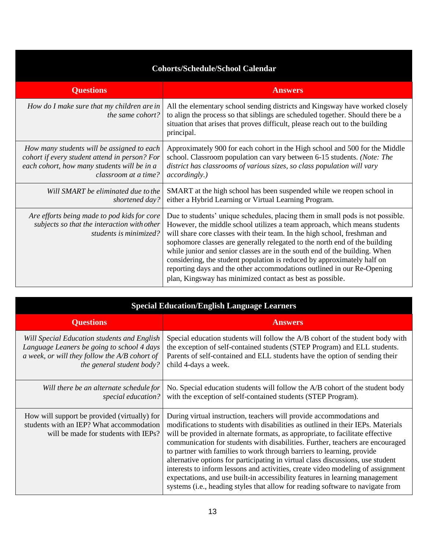| <b>Cohorts/Schedule/School Calendar</b>                                                                                                                            |                                                                                                                                                                                                                                                                                                                                                                                                                                                                                                                                                                                                                        |
|--------------------------------------------------------------------------------------------------------------------------------------------------------------------|------------------------------------------------------------------------------------------------------------------------------------------------------------------------------------------------------------------------------------------------------------------------------------------------------------------------------------------------------------------------------------------------------------------------------------------------------------------------------------------------------------------------------------------------------------------------------------------------------------------------|
| <b>Questions</b>                                                                                                                                                   | <b>Answers</b>                                                                                                                                                                                                                                                                                                                                                                                                                                                                                                                                                                                                         |
| How do I make sure that my children are in<br>the same cohort?                                                                                                     | All the elementary school sending districts and Kingsway have worked closely<br>to align the process so that siblings are scheduled together. Should there be a<br>situation that arises that proves difficult, please reach out to the building<br>principal.                                                                                                                                                                                                                                                                                                                                                         |
| How many students will be assigned to each<br>cohort if every student attend in person? For<br>each cohort, how many students will be in a<br>classroom at a time? | Approximately 900 for each cohort in the High school and 500 for the Middle<br>school. Classroom population can vary between 6-15 students. (Note: The<br>district has classrooms of various sizes, so class population will vary<br><i>accordingly.)</i>                                                                                                                                                                                                                                                                                                                                                              |
| Will SMART be eliminated due to the<br>shortened day?                                                                                                              | SMART at the high school has been suspended while we reopen school in<br>either a Hybrid Learning or Virtual Learning Program.                                                                                                                                                                                                                                                                                                                                                                                                                                                                                         |
| Are efforts being made to pod kids for core<br>subjects so that the interaction with other<br>students is minimized?                                               | Due to students' unique schedules, placing them in small pods is not possible.<br>However, the middle school utilizes a team approach, which means students<br>will share core classes with their team. In the high school, freshman and<br>sophomore classes are generally relegated to the north end of the building<br>while junior and senior classes are in the south end of the building. When<br>considering, the student population is reduced by approximately half on<br>reporting days and the other accommodations outlined in our Re-Opening<br>plan, Kingsway has minimized contact as best as possible. |

| <b>Special Education/English Language Learners</b>                                                                                                                      |                                                                                                                                                                                                                                                                                                                                                                                                                                                                                                                                                                                                                                                                                                                                                |
|-------------------------------------------------------------------------------------------------------------------------------------------------------------------------|------------------------------------------------------------------------------------------------------------------------------------------------------------------------------------------------------------------------------------------------------------------------------------------------------------------------------------------------------------------------------------------------------------------------------------------------------------------------------------------------------------------------------------------------------------------------------------------------------------------------------------------------------------------------------------------------------------------------------------------------|
| <b>Questions</b>                                                                                                                                                        | <b>Answers</b>                                                                                                                                                                                                                                                                                                                                                                                                                                                                                                                                                                                                                                                                                                                                 |
| Will Special Education students and English<br>Language Leaners be going to school 4 days<br>a week, or will they follow the A/B cohort of<br>the general student body? | Special education students will follow the A/B cohort of the student body with<br>the exception of self-contained students (STEP Program) and ELL students.<br>Parents of self-contained and ELL students have the option of sending their<br>child 4-days a week.                                                                                                                                                                                                                                                                                                                                                                                                                                                                             |
| Will there be an alternate schedule for<br>special education?                                                                                                           | No. Special education students will follow the A/B cohort of the student body<br>with the exception of self-contained students (STEP Program).                                                                                                                                                                                                                                                                                                                                                                                                                                                                                                                                                                                                 |
| How will support be provided (virtually) for<br>students with an IEP? What accommodation<br>will be made for students with IEPs?                                        | During virtual instruction, teachers will provide accommodations and<br>modifications to students with disabilities as outlined in their IEPs. Materials<br>will be provided in alternate formats, as appropriate, to facilitate effective<br>communication for students with disabilities. Further, teachers are encouraged<br>to partner with families to work through barriers to learning, provide<br>alternative options for participating in virtual class discussions, use student<br>interests to inform lessons and activities, create video modeling of assignment<br>expectations, and use built-in accessibility features in learning management<br>systems (i.e., heading styles that allow for reading software to navigate from |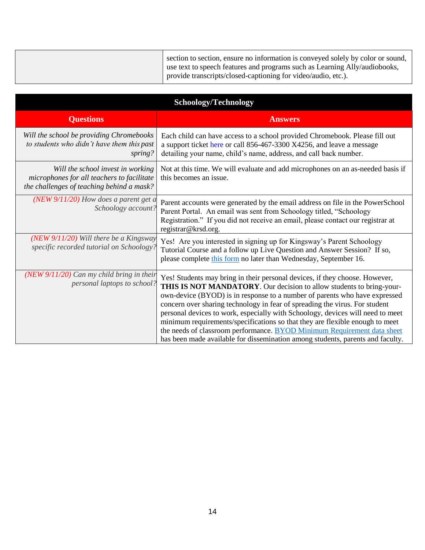| section to section, ensure no information is conveyed solely by color or sound,<br>use text to speech features and programs such as Learning Ally/audiobooks,<br>provide transcripts/closed-captioning for video/audio, etc.). |
|--------------------------------------------------------------------------------------------------------------------------------------------------------------------------------------------------------------------------------|
|                                                                                                                                                                                                                                |

| <b>Schoology/Technology</b>                                                                                                  |                                                                                                                                                                                                                                                                                                                                                                                                                                                                                                                                                                                                                                                 |
|------------------------------------------------------------------------------------------------------------------------------|-------------------------------------------------------------------------------------------------------------------------------------------------------------------------------------------------------------------------------------------------------------------------------------------------------------------------------------------------------------------------------------------------------------------------------------------------------------------------------------------------------------------------------------------------------------------------------------------------------------------------------------------------|
| <b>Questions</b>                                                                                                             | <b>Answers</b>                                                                                                                                                                                                                                                                                                                                                                                                                                                                                                                                                                                                                                  |
| Will the school be providing Chromebooks<br>to students who didn't have them this past<br>spring?                            | Each child can have access to a school provided Chromebook. Please fill out<br>a support ticket here or call 856-467-3300 X4256, and leave a message<br>detailing your name, child's name, address, and call back number.                                                                                                                                                                                                                                                                                                                                                                                                                       |
| Will the school invest in working<br>microphones for all teachers to facilitate<br>the challenges of teaching behind a mask? | Not at this time. We will evaluate and add microphones on an as-needed basis if<br>this becomes an issue.                                                                                                                                                                                                                                                                                                                                                                                                                                                                                                                                       |
| $(NEW 9/11/20)$ How does a parent get a<br>Schoology account?                                                                | Parent accounts were generated by the email address on file in the PowerSchool<br>Parent Portal. An email was sent from Schoology titled, "Schoology<br>Registration." If you did not receive an email, please contact our registrar at<br>registrar@krsd.org.                                                                                                                                                                                                                                                                                                                                                                                  |
| $(NEW 9/11/20)$ Will there be a Kingsway<br>specific recorded tutorial on Schoology?                                         | Yes! Are you interested in signing up for Kingsway's Parent Schoology<br>Tutorial Course and a follow up Live Question and Answer Session? If so,<br>please complete this form no later than Wednesday, September 16.                                                                                                                                                                                                                                                                                                                                                                                                                           |
| (NEW 9/11/20) Can my child bring in their<br>personal laptops to school?                                                     | Yes! Students may bring in their personal devices, if they choose. However,<br>THIS IS NOT MANDATORY. Our decision to allow students to bring-your-<br>own-device (BYOD) is in response to a number of parents who have expressed<br>concern over sharing technology in fear of spreading the virus. For student<br>personal devices to work, especially with Schoology, devices will need to meet<br>minimum requirements/specifications so that they are flexible enough to meet<br>the needs of classroom performance. BYOD Minimum Requirement data sheet<br>has been made available for dissemination among students, parents and faculty. |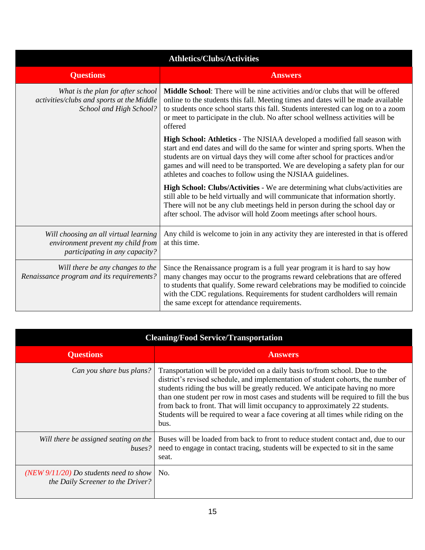| <b>Athletics/Clubs/Activities</b>                                                                            |                                                                                                                                                                                                                                                                                                                                                                                                |
|--------------------------------------------------------------------------------------------------------------|------------------------------------------------------------------------------------------------------------------------------------------------------------------------------------------------------------------------------------------------------------------------------------------------------------------------------------------------------------------------------------------------|
| <b>Questions</b>                                                                                             | <b>Answers</b>                                                                                                                                                                                                                                                                                                                                                                                 |
| What is the plan for after school<br>activities/clubs and sports at the Middle<br>School and High School?    | <b>Middle School:</b> There will be nine activities and/or clubs that will be offered<br>online to the students this fall. Meeting times and dates will be made available<br>to students once school starts this fall. Students interested can log on to a zoom<br>or meet to participate in the club. No after school wellness activities will be<br>offered                                  |
|                                                                                                              | High School: Athletics - The NJSIAA developed a modified fall season with<br>start and end dates and will do the same for winter and spring sports. When the<br>students are on virtual days they will come after school for practices and/or<br>games and will need to be transported. We are developing a safety plan for our<br>athletes and coaches to follow using the NJSIAA guidelines. |
|                                                                                                              | High School: Clubs/Activities - We are determining what clubs/activities are<br>still able to be held virtually and will communicate that information shortly.<br>There will not be any club meetings held in person during the school day or<br>after school. The advisor will hold Zoom meetings after school hours.                                                                         |
| Will choosing an all virtual learning<br>environment prevent my child from<br>participating in any capacity? | Any child is welcome to join in any activity they are interested in that is offered<br>at this time.                                                                                                                                                                                                                                                                                           |
| Will there be any changes to the<br>Renaissance program and its requirements?                                | Since the Renaissance program is a full year program it is hard to say how<br>many changes may occur to the programs reward celebrations that are offered<br>to students that qualify. Some reward celebrations may be modified to coincide<br>with the CDC regulations. Requirements for student cardholders will remain<br>the same except for attendance requirements.                      |

| <b>Cleaning/Food Service/Transportation</b>                                    |                                                                                                                                                                                                                                                                                                                                                                                                                                                                                                                        |
|--------------------------------------------------------------------------------|------------------------------------------------------------------------------------------------------------------------------------------------------------------------------------------------------------------------------------------------------------------------------------------------------------------------------------------------------------------------------------------------------------------------------------------------------------------------------------------------------------------------|
| <b>Questions</b>                                                               | <b>Answers</b>                                                                                                                                                                                                                                                                                                                                                                                                                                                                                                         |
| Can you share bus plans?                                                       | Transportation will be provided on a daily basis to/from school. Due to the<br>district's revised schedule, and implementation of student cohorts, the number of<br>students riding the bus will be greatly reduced. We anticipate having no more<br>than one student per row in most cases and students will be required to fill the bus<br>from back to front. That will limit occupancy to approximately 22 students.<br>Students will be required to wear a face covering at all times while riding on the<br>bus. |
| Will there be assigned seating on the<br>buses?                                | Buses will be loaded from back to front to reduce student contact and, due to our<br>need to engage in contact tracing, students will be expected to sit in the same<br>seat.                                                                                                                                                                                                                                                                                                                                          |
| (NEW $9/11/20$ ) Do students need to show<br>the Daily Screener to the Driver? | No.                                                                                                                                                                                                                                                                                                                                                                                                                                                                                                                    |